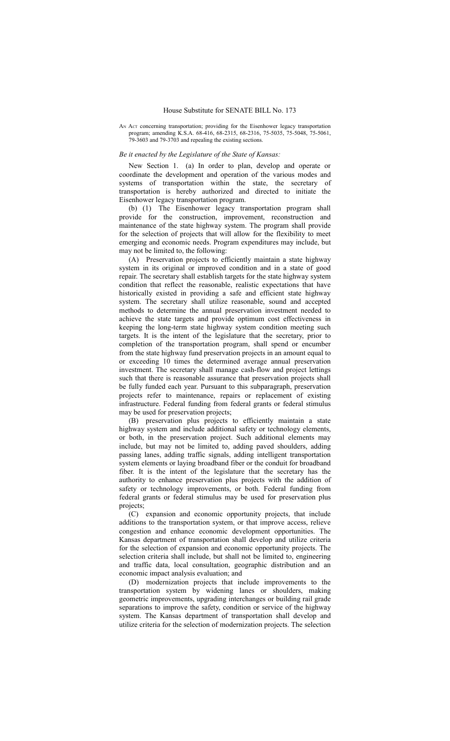AN ACT concerning transportation; providing for the Eisenhower legacy transportation program; amending K.S.A. 68-416, 68-2315, 68-2316, 75-5035, 75-5048, 75-5061, 79-3603 and 79-3703 and repealing the existing sections.

## *Be it enacted by the Legislature of the State of Kansas:*

New Section 1. (a) In order to plan, develop and operate or coordinate the development and operation of the various modes and systems of transportation within the state, the secretary of transportation is hereby authorized and directed to initiate the Eisenhower legacy transportation program.

(b) (1) The Eisenhower legacy transportation program shall provide for the construction, improvement, reconstruction and maintenance of the state highway system. The program shall provide for the selection of projects that will allow for the flexibility to meet emerging and economic needs. Program expenditures may include, but may not be limited to, the following:

(A) Preservation projects to efficiently maintain a state highway system in its original or improved condition and in a state of good repair. The secretary shall establish targets for the state highway system condition that reflect the reasonable, realistic expectations that have historically existed in providing a safe and efficient state highway system. The secretary shall utilize reasonable, sound and accepted methods to determine the annual preservation investment needed to achieve the state targets and provide optimum cost effectiveness in keeping the long-term state highway system condition meeting such targets. It is the intent of the legislature that the secretary, prior to completion of the transportation program, shall spend or encumber from the state highway fund preservation projects in an amount equal to or exceeding 10 times the determined average annual preservation investment. The secretary shall manage cash-flow and project lettings such that there is reasonable assurance that preservation projects shall be fully funded each year. Pursuant to this subparagraph, preservation projects refer to maintenance, repairs or replacement of existing infrastructure. Federal funding from federal grants or federal stimulus may be used for preservation projects;

(B) preservation plus projects to efficiently maintain a state highway system and include additional safety or technology elements, or both, in the preservation project. Such additional elements may include, but may not be limited to, adding paved shoulders, adding passing lanes, adding traffic signals, adding intelligent transportation system elements or laying broadband fiber or the conduit for broadband fiber. It is the intent of the legislature that the secretary has the authority to enhance preservation plus projects with the addition of safety or technology improvements, or both. Federal funding from federal grants or federal stimulus may be used for preservation plus projects;

(C) expansion and economic opportunity projects, that include additions to the transportation system, or that improve access, relieve congestion and enhance economic development opportunities. The Kansas department of transportation shall develop and utilize criteria for the selection of expansion and economic opportunity projects. The selection criteria shall include, but shall not be limited to, engineering and traffic data, local consultation, geographic distribution and an economic impact analysis evaluation; and

(D) modernization projects that include improvements to the transportation system by widening lanes or shoulders, making geometric improvements, upgrading interchanges or building rail grade separations to improve the safety, condition or service of the highway system. The Kansas department of transportation shall develop and utilize criteria for the selection of modernization projects. The selection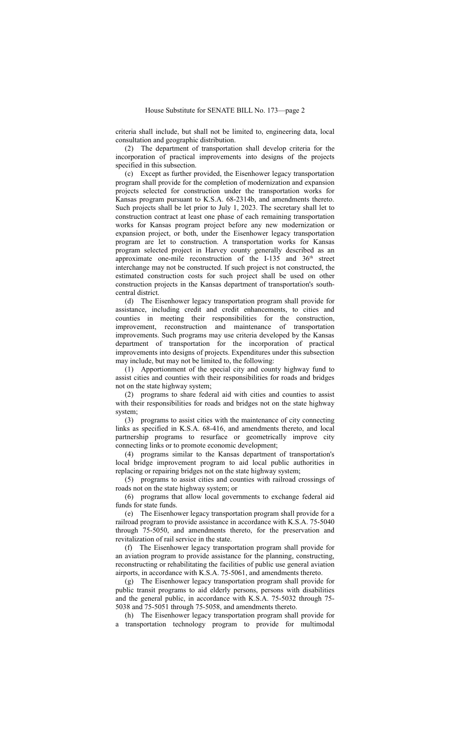criteria shall include, but shall not be limited to, engineering data, local consultation and geographic distribution.

(2) The department of transportation shall develop criteria for the incorporation of practical improvements into designs of the projects specified in this subsection.

(c) Except as further provided, the Eisenhower legacy transportation program shall provide for the completion of modernization and expansion projects selected for construction under the transportation works for Kansas program pursuant to K.S.A. 68-2314b, and amendments thereto. Such projects shall be let prior to July 1, 2023. The secretary shall let to construction contract at least one phase of each remaining transportation works for Kansas program project before any new modernization or expansion project, or both, under the Eisenhower legacy transportation program are let to construction. A transportation works for Kansas program selected project in Harvey county generally described as an approximate one-mile reconstruction of the I-135 and  $36<sup>th</sup>$  street interchange may not be constructed. If such project is not constructed, the estimated construction costs for such project shall be used on other construction projects in the Kansas department of transportation's southcentral district.

(d) The Eisenhower legacy transportation program shall provide for assistance, including credit and credit enhancements, to cities and counties in meeting their responsibilities for the construction, improvement, reconstruction and maintenance of transportation improvements. Such programs may use criteria developed by the Kansas department of transportation for the incorporation of practical improvements into designs of projects. Expenditures under this subsection may include, but may not be limited to, the following:

(1) Apportionment of the special city and county highway fund to assist cities and counties with their responsibilities for roads and bridges not on the state highway system;

(2) programs to share federal aid with cities and counties to assist with their responsibilities for roads and bridges not on the state highway system;

(3) programs to assist cities with the maintenance of city connecting links as specified in K.S.A. 68-416, and amendments thereto, and local partnership programs to resurface or geometrically improve city connecting links or to promote economic development;

(4) programs similar to the Kansas department of transportation's local bridge improvement program to aid local public authorities in replacing or repairing bridges not on the state highway system;

(5) programs to assist cities and counties with railroad crossings of roads not on the state highway system; or

(6) programs that allow local governments to exchange federal aid funds for state funds.

(e) The Eisenhower legacy transportation program shall provide for a railroad program to provide assistance in accordance with K.S.A. 75-5040 through 75-5050, and amendments thereto, for the preservation and revitalization of rail service in the state.

(f) The Eisenhower legacy transportation program shall provide for an aviation program to provide assistance for the planning, constructing, reconstructing or rehabilitating the facilities of public use general aviation airports, in accordance with K.S.A. 75-5061, and amendments thereto.

(g) The Eisenhower legacy transportation program shall provide for public transit programs to aid elderly persons, persons with disabilities and the general public, in accordance with K.S.A. 75-5032 through 75- 5038 and 75-5051 through 75-5058, and amendments thereto.

(h) The Eisenhower legacy transportation program shall provide for a transportation technology program to provide for multimodal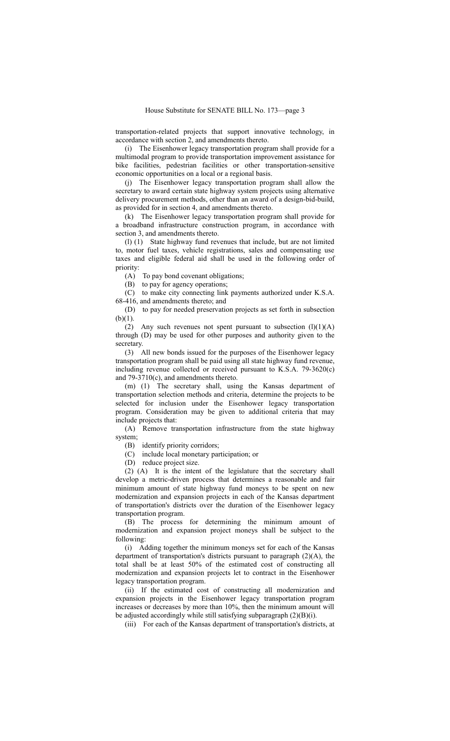transportation-related projects that support innovative technology, in accordance with section 2, and amendments thereto.

(i) The Eisenhower legacy transportation program shall provide for a multimodal program to provide transportation improvement assistance for bike facilities, pedestrian facilities or other transportation-sensitive economic opportunities on a local or a regional basis.

(j) The Eisenhower legacy transportation program shall allow the secretary to award certain state highway system projects using alternative delivery procurement methods, other than an award of a design-bid-build, as provided for in section 4, and amendments thereto.

(k) The Eisenhower legacy transportation program shall provide for a broadband infrastructure construction program, in accordance with section 3, and amendments thereto.

(l) (1) State highway fund revenues that include, but are not limited to, motor fuel taxes, vehicle registrations, sales and compensating use taxes and eligible federal aid shall be used in the following order of priority:

(A) To pay bond covenant obligations;

(B) to pay for agency operations;

(C) to make city connecting link payments authorized under K.S.A. 68-416, and amendments thereto; and

(D) to pay for needed preservation projects as set forth in subsection  $(b)(1)$ .

(2) Any such revenues not spent pursuant to subsection  $(l)(1)(A)$ through (D) may be used for other purposes and authority given to the secretary.

(3) All new bonds issued for the purposes of the Eisenhower legacy transportation program shall be paid using all state highway fund revenue, including revenue collected or received pursuant to K.S.A. 79-3620(c) and 79-3710(c), and amendments thereto.

(m) (1) The secretary shall, using the Kansas department of transportation selection methods and criteria, determine the projects to be selected for inclusion under the Eisenhower legacy transportation program. Consideration may be given to additional criteria that may include projects that:

(A) Remove transportation infrastructure from the state highway system;

(B) identify priority corridors;

(C) include local monetary participation; or

(D) reduce project size.

(2) (A) It is the intent of the legislature that the secretary shall develop a metric-driven process that determines a reasonable and fair minimum amount of state highway fund moneys to be spent on new modernization and expansion projects in each of the Kansas department of transportation's districts over the duration of the Eisenhower legacy transportation program.

(B) The process for determining the minimum amount of modernization and expansion project moneys shall be subject to the following:

(i) Adding together the minimum moneys set for each of the Kansas department of transportation's districts pursuant to paragraph  $(2)(A)$ , the total shall be at least 50% of the estimated cost of constructing all modernization and expansion projects let to contract in the Eisenhower legacy transportation program.

(ii) If the estimated cost of constructing all modernization and expansion projects in the Eisenhower legacy transportation program increases or decreases by more than 10%, then the minimum amount will be adjusted accordingly while still satisfying subparagraph (2)(B)(i).

(iii) For each of the Kansas department of transportation's districts, at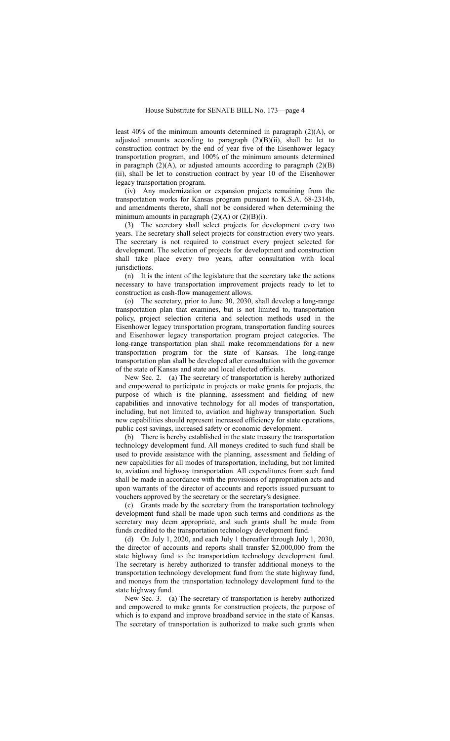least 40% of the minimum amounts determined in paragraph (2)(A), or adjusted amounts according to paragraph  $(2)(B)(ii)$ , shall be let to construction contract by the end of year five of the Eisenhower legacy transportation program, and 100% of the minimum amounts determined in paragraph  $(2)(A)$ , or adjusted amounts according to paragraph  $(2)(B)$ (ii), shall be let to construction contract by year 10 of the Eisenhower legacy transportation program.

(iv) Any modernization or expansion projects remaining from the transportation works for Kansas program pursuant to K.S.A. 68-2314b, and amendments thereto, shall not be considered when determining the minimum amounts in paragraph  $(2)(A)$  or  $(2)(B)(i)$ .

(3) The secretary shall select projects for development every two years. The secretary shall select projects for construction every two years. The secretary is not required to construct every project selected for development. The selection of projects for development and construction shall take place every two years, after consultation with local jurisdictions.

(n) It is the intent of the legislature that the secretary take the actions necessary to have transportation improvement projects ready to let to construction as cash-flow management allows.

(o) The secretary, prior to June 30, 2030, shall develop a long-range transportation plan that examines, but is not limited to, transportation policy, project selection criteria and selection methods used in the Eisenhower legacy transportation program, transportation funding sources and Eisenhower legacy transportation program project categories. The long-range transportation plan shall make recommendations for a new transportation program for the state of Kansas. The long-range transportation plan shall be developed after consultation with the governor of the state of Kansas and state and local elected officials.

New Sec. 2. (a) The secretary of transportation is hereby authorized and empowered to participate in projects or make grants for projects, the purpose of which is the planning, assessment and fielding of new capabilities and innovative technology for all modes of transportation, including, but not limited to, aviation and highway transportation. Such new capabilities should represent increased efficiency for state operations, public cost savings, increased safety or economic development.

(b) There is hereby established in the state treasury the transportation technology development fund. All moneys credited to such fund shall be used to provide assistance with the planning, assessment and fielding of new capabilities for all modes of transportation, including, but not limited to, aviation and highway transportation. All expenditures from such fund shall be made in accordance with the provisions of appropriation acts and upon warrants of the director of accounts and reports issued pursuant to vouchers approved by the secretary or the secretary's designee.

(c) Grants made by the secretary from the transportation technology development fund shall be made upon such terms and conditions as the secretary may deem appropriate, and such grants shall be made from funds credited to the transportation technology development fund.

(d) On July 1, 2020, and each July 1 thereafter through July 1, 2030, the director of accounts and reports shall transfer \$2,000,000 from the state highway fund to the transportation technology development fund. The secretary is hereby authorized to transfer additional moneys to the transportation technology development fund from the state highway fund, and moneys from the transportation technology development fund to the state highway fund.

New Sec. 3. (a) The secretary of transportation is hereby authorized and empowered to make grants for construction projects, the purpose of which is to expand and improve broadband service in the state of Kansas. The secretary of transportation is authorized to make such grants when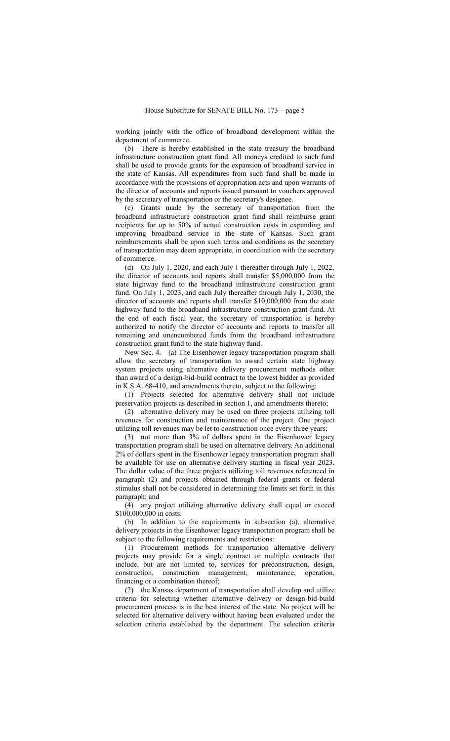working jointly with the office of broadband development within the department of commerce.

(b) There is hereby established in the state treasury the broadband infrastructure construction grant fund. All moneys credited to such fund shall be used to provide grants for the expansion of broadband service in the state of Kansas. All expenditures from such fund shall be made in accordance with the provisions of appropriation acts and upon warrants of the director of accounts and reports issued pursuant to vouchers approved by the secretary of transportation or the secretary's designee.

(c) Grants made by the secretary of transportation from the broadband infrastructure construction grant fund shall reimburse grant recipients for up to 50% of actual construction costs in expanding and improving broadband service in the state of Kansas. Such grant reimbursements shall be upon such terms and conditions as the secretary of transportation may deem appropriate, in coordination with the secretary of commerce.

(d) On July 1, 2020, and each July 1 thereafter through July 1, 2022, the director of accounts and reports shall transfer \$5,000,000 from the state highway fund to the broadband infrastructure construction grant fund. On July 1, 2023, and each July thereafter through July 1, 2030, the director of accounts and reports shall transfer \$10,000,000 from the state highway fund to the broadband infrastructure construction grant fund. At the end of each fiscal year, the secretary of transportation is hereby authorized to notify the director of accounts and reports to transfer all remaining and unencumbered funds from the broadband infrastructure construction grant fund to the state highway fund.

New Sec. 4. (a) The Eisenhower legacy transportation program shall allow the secretary of transportation to award certain state highway system projects using alternative delivery procurement methods other than award of a design-bid-build contract to the lowest bidder as provided in K.S.A. 68-410, and amendments thereto, subject to the following:

(1) Projects selected for alternative delivery shall not include preservation projects as described in section 1, and amendments thereto;

(2) alternative delivery may be used on three projects utilizing toll revenues for construction and maintenance of the project. One project utilizing toll revenues may be let to construction once every three years;

(3) not more than 3% of dollars spent in the Eisenhower legacy transportation program shall be used on alternative delivery. An additional 2% of dollars spent in the Eisenhower legacy transportation program shall be available for use on alternative delivery starting in fiscal year 2023. The dollar value of the three projects utilizing toll revenues referenced in paragraph (2) and projects obtained through federal grants or federal stimulus shall not be considered in determining the limits set forth in this paragraph; and

(4) any project utilizing alternative delivery shall equal or exceed \$100,000,000 in costs.

(b) In addition to the requirements in subsection (a), alternative delivery projects in the Eisenhower legacy transportation program shall be subject to the following requirements and restrictions:

(1) Procurement methods for transportation alternative delivery projects may provide for a single contract or multiple contracts that include, but are not limited to, services for preconstruction, design, construction, construction management, maintenance, operation, financing or a combination thereof;

(2) the Kansas department of transportation shall develop and utilize criteria for selecting whether alternative delivery or design-bid-build procurement process is in the best interest of the state. No project will be selected for alternative delivery without having been evaluated under the selection criteria established by the department. The selection criteria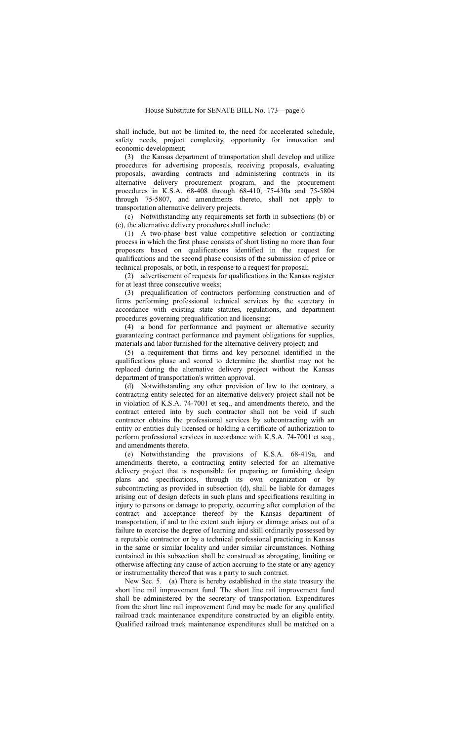shall include, but not be limited to, the need for accelerated schedule, safety needs, project complexity, opportunity for innovation and economic development;

(3) the Kansas department of transportation shall develop and utilize procedures for advertising proposals, receiving proposals, evaluating proposals, awarding contracts and administering contracts in its alternative delivery procurement program, and the procurement procedures in K.S.A. 68-408 through 68-410, 75-430a and 75-5804 through 75-5807, and amendments thereto, shall not apply to transportation alternative delivery projects.

(c) Notwithstanding any requirements set forth in subsections (b) or (c), the alternative delivery procedures shall include:

(1) A two-phase best value competitive selection or contracting process in which the first phase consists of short listing no more than four proposers based on qualifications identified in the request for qualifications and the second phase consists of the submission of price or technical proposals, or both, in response to a request for proposal;

(2) advertisement of requests for qualifications in the Kansas register for at least three consecutive weeks;

(3) prequalification of contractors performing construction and of firms performing professional technical services by the secretary in accordance with existing state statutes, regulations, and department procedures governing prequalification and licensing;

(4) a bond for performance and payment or alternative security guaranteeing contract performance and payment obligations for supplies, materials and labor furnished for the alternative delivery project; and

(5) a requirement that firms and key personnel identified in the qualifications phase and scored to determine the shortlist may not be replaced during the alternative delivery project without the Kansas department of transportation's written approval.

(d) Notwithstanding any other provision of law to the contrary, a contracting entity selected for an alternative delivery project shall not be in violation of K.S.A. 74-7001 et seq., and amendments thereto, and the contract entered into by such contractor shall not be void if such contractor obtains the professional services by subcontracting with an entity or entities duly licensed or holding a certificate of authorization to perform professional services in accordance with K.S.A. 74-7001 et seq., and amendments thereto.

(e) Notwithstanding the provisions of K.S.A. 68-419a, and amendments thereto, a contracting entity selected for an alternative delivery project that is responsible for preparing or furnishing design plans and specifications, through its own organization or by subcontracting as provided in subsection (d), shall be liable for damages arising out of design defects in such plans and specifications resulting in injury to persons or damage to property, occurring after completion of the contract and acceptance thereof by the Kansas department of transportation, if and to the extent such injury or damage arises out of a failure to exercise the degree of learning and skill ordinarily possessed by a reputable contractor or by a technical professional practicing in Kansas in the same or similar locality and under similar circumstances. Nothing contained in this subsection shall be construed as abrogating, limiting or otherwise affecting any cause of action accruing to the state or any agency or instrumentality thereof that was a party to such contract.

New Sec. 5. (a) There is hereby established in the state treasury the short line rail improvement fund. The short line rail improvement fund shall be administered by the secretary of transportation. Expenditures from the short line rail improvement fund may be made for any qualified railroad track maintenance expenditure constructed by an eligible entity. Qualified railroad track maintenance expenditures shall be matched on a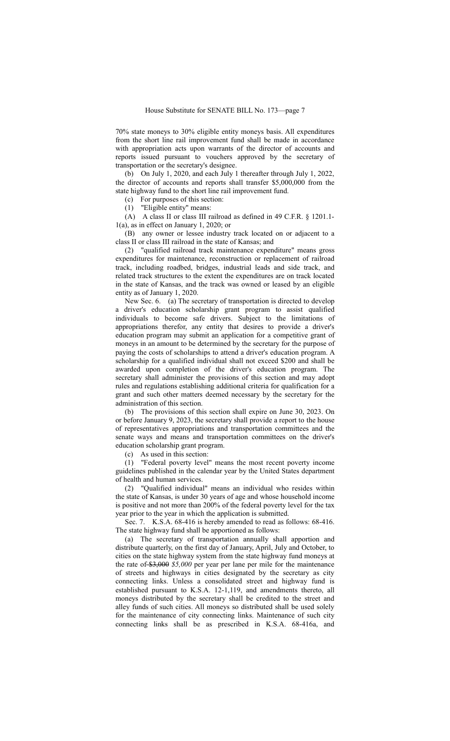70% state moneys to 30% eligible entity moneys basis. All expenditures from the short line rail improvement fund shall be made in accordance with appropriation acts upon warrants of the director of accounts and reports issued pursuant to vouchers approved by the secretary of transportation or the secretary's designee.

(b) On July 1, 2020, and each July 1 thereafter through July 1, 2022, the director of accounts and reports shall transfer \$5,000,000 from the state highway fund to the short line rail improvement fund.

(c) For purposes of this section:

(1) "Eligible entity" means:

(A) A class II or class III railroad as defined in 49 C.F.R. § 1201.1- 1(a), as in effect on January 1, 2020; or

(B) any owner or lessee industry track located on or adjacent to a class II or class III railroad in the state of Kansas; and

(2) "qualified railroad track maintenance expenditure" means gross expenditures for maintenance, reconstruction or replacement of railroad track, including roadbed, bridges, industrial leads and side track, and related track structures to the extent the expenditures are on track located in the state of Kansas, and the track was owned or leased by an eligible entity as of January 1, 2020.

New Sec. 6. (a) The secretary of transportation is directed to develop a driver's education scholarship grant program to assist qualified individuals to become safe drivers. Subject to the limitations of appropriations therefor, any entity that desires to provide a driver's education program may submit an application for a competitive grant of moneys in an amount to be determined by the secretary for the purpose of paying the costs of scholarships to attend a driver's education program. A scholarship for a qualified individual shall not exceed \$200 and shall be awarded upon completion of the driver's education program. The secretary shall administer the provisions of this section and may adopt rules and regulations establishing additional criteria for qualification for a grant and such other matters deemed necessary by the secretary for the administration of this section.

(b) The provisions of this section shall expire on June 30, 2023. On or before January 9, 2023, the secretary shall provide a report to the house of representatives appropriations and transportation committees and the senate ways and means and transportation committees on the driver's education scholarship grant program.

(c) As used in this section:

(1) "Federal poverty level" means the most recent poverty income guidelines published in the calendar year by the United States department of health and human services.

(2) "Qualified individual" means an individual who resides within the state of Kansas, is under 30 years of age and whose household income is positive and not more than 200% of the federal poverty level for the tax year prior to the year in which the application is submitted.

Sec. 7. K.S.A. 68-416 is hereby amended to read as follows: 68-416. The state highway fund shall be apportioned as follows:

(a) The secretary of transportation annually shall apportion and distribute quarterly, on the first day of January, April, July and October, to cities on the state highway system from the state highway fund moneys at the rate of \$3,000 *\$5,000* per year per lane per mile for the maintenance of streets and highways in cities designated by the secretary as city connecting links. Unless a consolidated street and highway fund is established pursuant to K.S.A. 12-1,119, and amendments thereto, all moneys distributed by the secretary shall be credited to the street and alley funds of such cities. All moneys so distributed shall be used solely for the maintenance of city connecting links. Maintenance of such city connecting links shall be as prescribed in K.S.A. 68-416a, and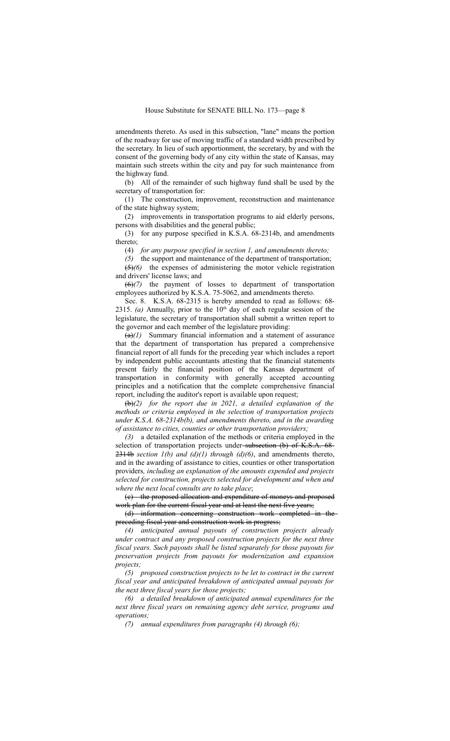amendments thereto. As used in this subsection, "lane" means the portion of the roadway for use of moving traffic of a standard width prescribed by the secretary. In lieu of such apportionment, the secretary, by and with the consent of the governing body of any city within the state of Kansas, may maintain such streets within the city and pay for such maintenance from the highway fund.

(b) All of the remainder of such highway fund shall be used by the secretary of transportation for:

(1) The construction, improvement, reconstruction and maintenance of the state highway system;

(2) improvements in transportation programs to aid elderly persons, persons with disabilities and the general public;

(3) for any purpose specified in K.S.A. 68-2314b, and amendments thereto;

(4) *for any purpose specified in section 1, and amendments thereto;*

*(5)* the support and maintenance of the department of transportation; (5)*(6)* the expenses of administering the motor vehicle registration and drivers' license laws; and

(6)*(7)* the payment of losses to department of transportation employees authorized by K.S.A. 75-5062, and amendments thereto.

Sec. 8. K.S.A. 68-2315 is hereby amended to read as follows: 68- 2315. (a) Annually, prior to the  $10<sup>th</sup>$  day of each regular session of the legislature, the secretary of transportation shall submit a written report to the governor and each member of the legislature providing:

(a)*(1)* Summary financial information and a statement of assurance that the department of transportation has prepared a comprehensive financial report of all funds for the preceding year which includes a report by independent public accountants attesting that the financial statements present fairly the financial position of the Kansas department of transportation in conformity with generally accepted accounting principles and a notification that the complete comprehensive financial report, including the auditor's report is available upon request;

(b)*(2) for the report due in 2021, a detailed explanation of the methods or criteria employed in the selection of transportation projects under K.S.A. 68-2314b(b), and amendments thereto, and in the awarding of assistance to cities, counties or other transportation providers;*

*(3)* a detailed explanation of the methods or criteria employed in the selection of transportation projects under-subsection (b) of K.S.A. 68- $2314b$  *section 1(b) and (d)(1) through (d)(6)*, and amendments thereto, and in the awarding of assistance to cities, counties or other transportation providers*, including an explanation of the amounts expended and projects selected for construction, projects selected for development and when and where the next local consults are to take place*;

(c) the proposed allocation and expenditure of moneys and proposed work plan for the current fiscal year and at least the next five years;

(d) information concerning construction work completed in the preceding fiscal year and construction work in progress;

*(4) anticipated annual payouts of construction projects already under contract and any proposed construction projects for the next three fiscal years. Such payouts shall be listed separately for those payouts for preservation projects from payouts for modernization and expansion projects;*

*(5) proposed construction projects to be let to contract in the current fiscal year and anticipated breakdown of anticipated annual payouts for the next three fiscal years for those projects;*

*(6) a detailed breakdown of anticipated annual expenditures for the next three fiscal years on remaining agency debt service, programs and operations;*

*(7) annual expenditures from paragraphs (4) through (6);*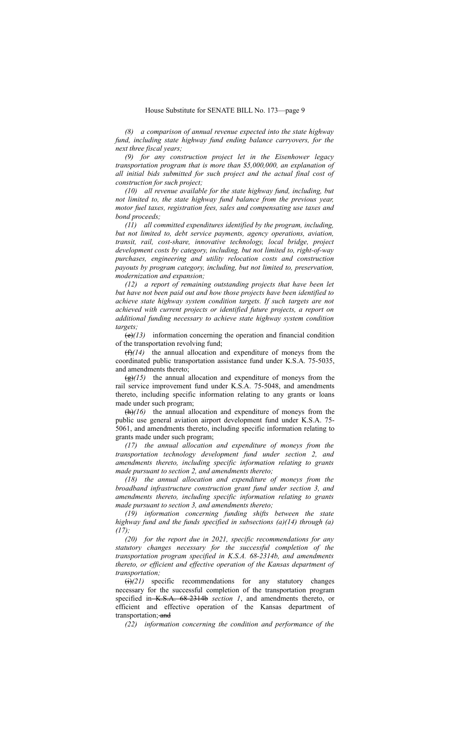*(8) a comparison of annual revenue expected into the state highway fund, including state highway fund ending balance carryovers, for the next three fiscal years;*

*(9) for any construction project let in the Eisenhower legacy transportation program that is more than \$5,000,000, an explanation of all initial bids submitted for such project and the actual final cost of construction for such project;*

*(10) all revenue available for the state highway fund, including, but not limited to, the state highway fund balance from the previous year, motor fuel taxes, registration fees, sales and compensating use taxes and bond proceeds;*

*(11) all committed expenditures identified by the program, including, but not limited to, debt service payments, agency operations, aviation, transit, rail, cost-share, innovative technology, local bridge, project development costs by category, including, but not limited to, right-of-way purchases, engineering and utility relocation costs and construction payouts by program category, including, but not limited to, preservation, modernization and expansion;*

*(12) a report of remaining outstanding projects that have been let but have not been paid out and how those projects have been identified to achieve state highway system condition targets. If such targets are not achieved with current projects or identified future projects, a report on additional funding necessary to achieve state highway system condition targets;*

(e)*(13)* information concerning the operation and financial condition of the transportation revolving fund;

(f)*(14)* the annual allocation and expenditure of moneys from the coordinated public transportation assistance fund under K.S.A. 75-5035, and amendments thereto;

(g)*(15)* the annual allocation and expenditure of moneys from the rail service improvement fund under K.S.A. 75-5048, and amendments thereto, including specific information relating to any grants or loans made under such program;

(h)*(16)* the annual allocation and expenditure of moneys from the public use general aviation airport development fund under K.S.A. 75- 5061, and amendments thereto, including specific information relating to grants made under such program;

*(17) the annual allocation and expenditure of moneys from the transportation technology development fund under section 2, and amendments thereto, including specific information relating to grants made pursuant to section 2, and amendments thereto;*

*(18) the annual allocation and expenditure of moneys from the broadband infrastructure construction grant fund under section 3, and amendments thereto, including specific information relating to grants made pursuant to section 3, and amendments thereto;*

*(19) information concerning funding shifts between the state highway fund and the funds specified in subsections (a)(14) through (a) (17);*

*(20) for the report due in 2021, specific recommendations for any statutory changes necessary for the successful completion of the transportation program specified in K.S.A. 68-2314b, and amendments thereto, or efficient and effective operation of the Kansas department of transportation;*

(i)*(21)* specific recommendations for any statutory changes necessary for the successful completion of the transportation program specified in K.S.A. 68-2314b *section 1*, and amendments thereto, or efficient and effective operation of the Kansas department transportation; and

*(22) information concerning the condition and performance of the*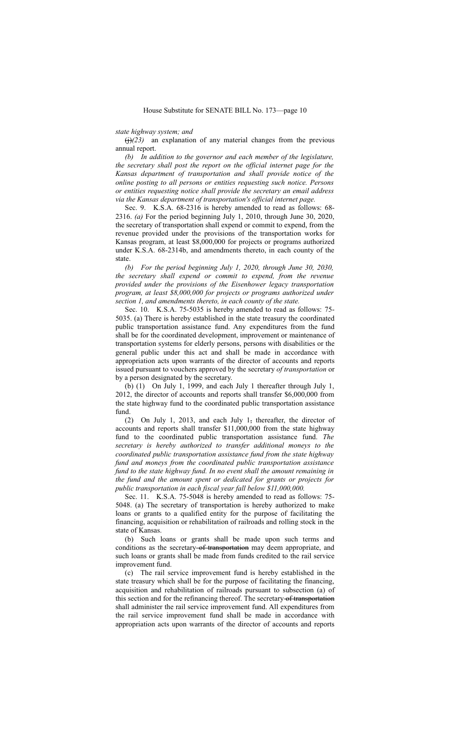*state highway system; and*

 $\left(\frac{1}{12}\right)^{23}$  an explanation of any material changes from the previous annual report.

*(b) In addition to the governor and each member of the legislature, the secretary shall post the report on the official internet page for the Kansas department of transportation and shall provide notice of the online posting to all persons or entities requesting such notice. Persons or entities requesting notice shall provide the secretary an email address via the Kansas department of transportation's official internet page.*

Sec. 9. K.S.A. 68-2316 is hereby amended to read as follows: 68- 2316. *(a)* For the period beginning July 1, 2010, through June 30, 2020, the secretary of transportation shall expend or commit to expend, from the revenue provided under the provisions of the transportation works for Kansas program, at least \$8,000,000 for projects or programs authorized under K.S.A. 68-2314b, and amendments thereto, in each county of the state.

*(b) For the period beginning July 1, 2020, through June 30, 2030, the secretary shall expend or commit to expend, from the revenue provided under the provisions of the Eisenhower legacy transportation program, at least \$8,000,000 for projects or programs authorized under section 1, and amendments thereto, in each county of the state.*

Sec. 10. K.S.A. 75-5035 is hereby amended to read as follows: 75- 5035. (a) There is hereby established in the state treasury the coordinated public transportation assistance fund. Any expenditures from the fund shall be for the coordinated development, improvement or maintenance of transportation systems for elderly persons, persons with disabilities or the general public under this act and shall be made in accordance with appropriation acts upon warrants of the director of accounts and reports issued pursuant to vouchers approved by the secretary *of transportation* or by a person designated by the secretary.

(b) (1) On July 1, 1999, and each July 1 thereafter through July 1, 2012, the director of accounts and reports shall transfer \$6,000,000 from the state highway fund to the coordinated public transportation assistance fund.

(2) On July 1, 2013, and each July 1, thereafter, the director of accounts and reports shall transfer \$11,000,000 from the state highway fund to the coordinated public transportation assistance fund. *The secretary is hereby authorized to transfer additional moneys to the coordinated public transportation assistance fund from the state highway fund and moneys from the coordinated public transportation assistance fund to the state highway fund. In no event shall the amount remaining in the fund and the amount spent or dedicated for grants or projects for public transportation in each fiscal year fall below \$11,000,000.*

Sec. 11. K.S.A. 75-5048 is hereby amended to read as follows: 75- 5048. (a) The secretary of transportation is hereby authorized to make loans or grants to a qualified entity for the purpose of facilitating the financing, acquisition or rehabilitation of railroads and rolling stock in the state of Kansas.

(b) Such loans or grants shall be made upon such terms and conditions as the secretary of transportation may deem appropriate, and such loans or grants shall be made from funds credited to the rail service improvement fund.

(c) The rail service improvement fund is hereby established in the state treasury which shall be for the purpose of facilitating the financing, acquisition and rehabilitation of railroads pursuant to subsection (a) of this section and for the refinancing thereof. The secretary of transportation shall administer the rail service improvement fund. All expenditures from the rail service improvement fund shall be made in accordance with appropriation acts upon warrants of the director of accounts and reports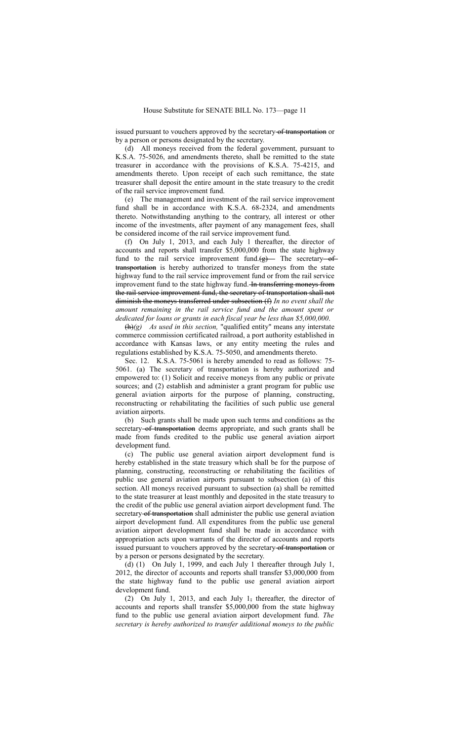issued pursuant to vouchers approved by the secretary of transportation or by a person or persons designated by the secretary.

(d) All moneys received from the federal government, pursuant to K.S.A. 75-5026, and amendments thereto, shall be remitted to the state treasurer in accordance with the provisions of K.S.A. 75-4215, and amendments thereto. Upon receipt of each such remittance, the state treasurer shall deposit the entire amount in the state treasury to the credit of the rail service improvement fund.

(e) The management and investment of the rail service improvement fund shall be in accordance with K.S.A. 68-2324, and amendments thereto. Notwithstanding anything to the contrary, all interest or other income of the investments, after payment of any management fees, shall be considered income of the rail service improvement fund.

(f) On July 1, 2013, and each July 1 thereafter, the director of accounts and reports shall transfer \$5,000,000 from the state highway fund to the rail service improvement fund. $(g)$  The secretary of transportation is hereby authorized to transfer moneys from the state highway fund to the rail service improvement fund or from the rail service improvement fund to the state highway fund. In transferring moneys from the rail service improvement fund, the secretary of transportation shall not diminish the moneys transferred under subsection (f) *In no event shall the amount remaining in the rail service fund and the amount spent or dedicated for loans or grants in each fiscal year be less than \$5,000,000*.

(h)*(g) As used in this section,* "qualified entity" means any interstate commerce commission certificated railroad, a port authority established in accordance with Kansas laws, or any entity meeting the rules and regulations established by K.S.A. 75-5050, and amendments thereto.

Sec. 12. K.S.A. 75-5061 is hereby amended to read as follows: 75- 5061. (a) The secretary of transportation is hereby authorized and empowered to: (1) Solicit and receive moneys from any public or private sources; and (2) establish and administer a grant program for public use general aviation airports for the purpose of planning, constructing, reconstructing or rehabilitating the facilities of such public use general aviation airports.

(b) Such grants shall be made upon such terms and conditions as the secretary-of transportation deems appropriate, and such grants shall be made from funds credited to the public use general aviation airport development fund.

(c) The public use general aviation airport development fund is hereby established in the state treasury which shall be for the purpose of planning, constructing, reconstructing or rehabilitating the facilities of public use general aviation airports pursuant to subsection (a) of this section. All moneys received pursuant to subsection (a) shall be remitted to the state treasurer at least monthly and deposited in the state treasury to the credit of the public use general aviation airport development fund. The secretary of transportation shall administer the public use general aviation airport development fund. All expenditures from the public use general aviation airport development fund shall be made in accordance with appropriation acts upon warrants of the director of accounts and reports issued pursuant to vouchers approved by the secretary of transportation or by a person or persons designated by the secretary.

(d) (1) On July 1, 1999, and each July 1 thereafter through July 1, 2012, the director of accounts and reports shall transfer \$3,000,000 from the state highway fund to the public use general aviation airport development fund.

(2) On July 1, 2013, and each July 1, thereafter, the director of accounts and reports shall transfer \$5,000,000 from the state highway fund to the public use general aviation airport development fund. *The secretary is hereby authorized to transfer additional moneys to the public*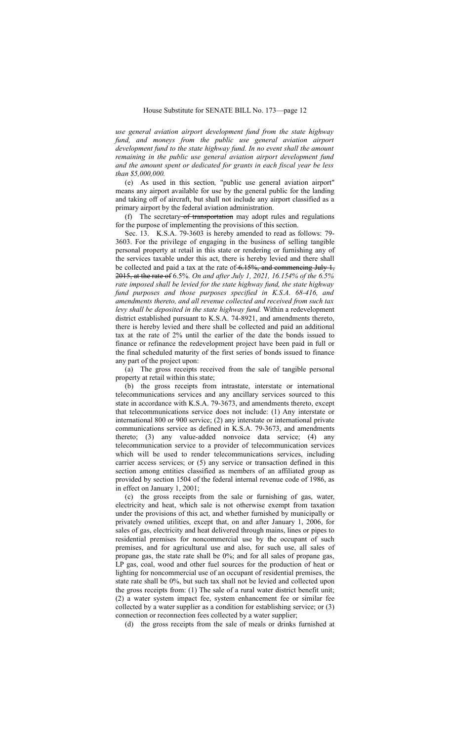*use general aviation airport development fund from the state highway fund, and moneys from the public use general aviation airport development fund to the state highway fund. In no event shall the amount remaining in the public use general aviation airport development fund and the amount spent or dedicated for grants in each fiscal year be less than \$5,000,000.*

(e) As used in this section*,* "public use general aviation airport" means any airport available for use by the general public for the landing and taking off of aircraft, but shall not include any airport classified as a primary airport by the federal aviation administration.

(f) The secretary of transportation may adopt rules and regulations for the purpose of implementing the provisions of this section.

Sec. 13. K.S.A. 79-3603 is hereby amended to read as follows: 79- 3603. For the privilege of engaging in the business of selling tangible personal property at retail in this state or rendering or furnishing any of the services taxable under this act, there is hereby levied and there shall be collected and paid a tax at the rate of  $6.15\%$ , and commencing July 1, 2015, at the rate of 6.5%. *On and after July 1, 2021, 16.154% of the 6.5% rate imposed shall be levied for the state highway fund, the state highway fund purposes and those purposes specified in K.S.A. 68-416, and amendments thereto, and all revenue collected and received from such tax levy shall be deposited in the state highway fund.* Within a redevelopment district established pursuant to K.S.A. 74-8921, and amendments thereto, there is hereby levied and there shall be collected and paid an additional tax at the rate of 2% until the earlier of the date the bonds issued to finance or refinance the redevelopment project have been paid in full or the final scheduled maturity of the first series of bonds issued to finance any part of the project upon:

(a) The gross receipts received from the sale of tangible personal property at retail within this state;

(b) the gross receipts from intrastate, interstate or international telecommunications services and any ancillary services sourced to this state in accordance with K.S.A. 79-3673, and amendments thereto, except that telecommunications service does not include: (1) Any interstate or international 800 or 900 service; (2) any interstate or international private communications service as defined in K.S.A. 79-3673, and amendments thereto; (3) any value-added nonvoice data service; (4) any telecommunication service to a provider of telecommunication services which will be used to render telecommunications services, including carrier access services; or (5) any service or transaction defined in this section among entities classified as members of an affiliated group as provided by section 1504 of the federal internal revenue code of 1986, as in effect on January 1, 2001;

(c) the gross receipts from the sale or furnishing of gas, water, electricity and heat, which sale is not otherwise exempt from taxation under the provisions of this act, and whether furnished by municipally or privately owned utilities, except that, on and after January 1, 2006, for sales of gas, electricity and heat delivered through mains, lines or pipes to residential premises for noncommercial use by the occupant of such premises, and for agricultural use and also, for such use, all sales of propane gas, the state rate shall be 0%; and for all sales of propane gas, LP gas, coal, wood and other fuel sources for the production of heat or lighting for noncommercial use of an occupant of residential premises, the state rate shall be 0%, but such tax shall not be levied and collected upon the gross receipts from: (1) The sale of a rural water district benefit unit; (2) a water system impact fee, system enhancement fee or similar fee collected by a water supplier as a condition for establishing service; or (3) connection or reconnection fees collected by a water supplier;

(d) the gross receipts from the sale of meals or drinks furnished at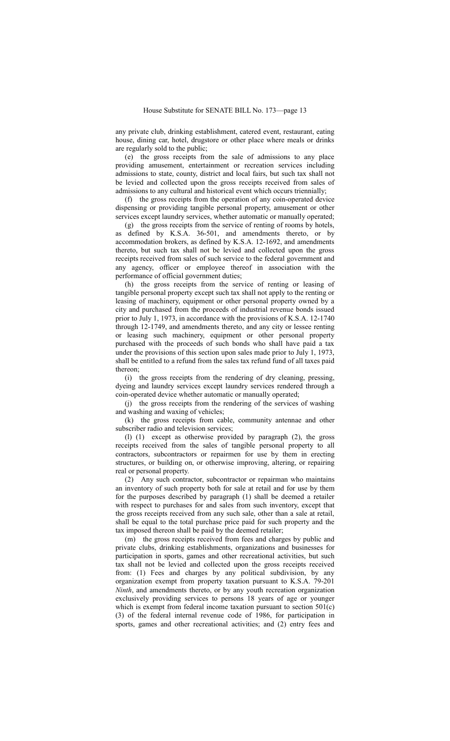any private club, drinking establishment, catered event, restaurant, eating house, dining car, hotel, drugstore or other place where meals or drinks are regularly sold to the public;

(e) the gross receipts from the sale of admissions to any place providing amusement, entertainment or recreation services including admissions to state, county, district and local fairs, but such tax shall not be levied and collected upon the gross receipts received from sales of admissions to any cultural and historical event which occurs triennially;

(f) the gross receipts from the operation of any coin-operated device dispensing or providing tangible personal property, amusement or other services except laundry services, whether automatic or manually operated;

(g) the gross receipts from the service of renting of rooms by hotels, as defined by K.S.A. 36-501, and amendments thereto, or by accommodation brokers, as defined by K.S.A. 12-1692, and amendments thereto, but such tax shall not be levied and collected upon the gross receipts received from sales of such service to the federal government and any agency, officer or employee thereof in association with the performance of official government duties;

(h) the gross receipts from the service of renting or leasing of tangible personal property except such tax shall not apply to the renting or leasing of machinery, equipment or other personal property owned by a city and purchased from the proceeds of industrial revenue bonds issued prior to July 1, 1973, in accordance with the provisions of K.S.A. 12-1740 through 12-1749, and amendments thereto, and any city or lessee renting or leasing such machinery, equipment or other personal property purchased with the proceeds of such bonds who shall have paid a tax under the provisions of this section upon sales made prior to July 1, 1973, shall be entitled to a refund from the sales tax refund fund of all taxes paid thereon;

(i) the gross receipts from the rendering of dry cleaning, pressing, dyeing and laundry services except laundry services rendered through a coin-operated device whether automatic or manually operated;

(j) the gross receipts from the rendering of the services of washing and washing and waxing of vehicles;

(k) the gross receipts from cable, community antennae and other subscriber radio and television services;

(l) (1) except as otherwise provided by paragraph (2), the gross receipts received from the sales of tangible personal property to all contractors, subcontractors or repairmen for use by them in erecting structures, or building on, or otherwise improving, altering, or repairing real or personal property.

(2) Any such contractor, subcontractor or repairman who maintains an inventory of such property both for sale at retail and for use by them for the purposes described by paragraph (1) shall be deemed a retailer with respect to purchases for and sales from such inventory, except that the gross receipts received from any such sale, other than a sale at retail, shall be equal to the total purchase price paid for such property and the tax imposed thereon shall be paid by the deemed retailer;

(m) the gross receipts received from fees and charges by public and private clubs, drinking establishments, organizations and businesses for participation in sports, games and other recreational activities, but such tax shall not be levied and collected upon the gross receipts received from: (1) Fees and charges by any political subdivision, by any organization exempt from property taxation pursuant to K.S.A. 79-201 *Ninth*, and amendments thereto, or by any youth recreation organization exclusively providing services to persons 18 years of age or younger which is exempt from federal income taxation pursuant to section  $501(c)$ (3) of the federal internal revenue code of 1986, for participation in sports, games and other recreational activities; and (2) entry fees and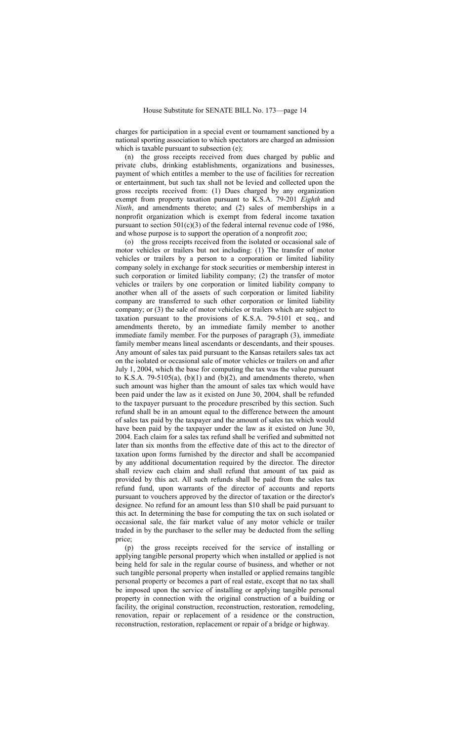charges for participation in a special event or tournament sanctioned by a national sporting association to which spectators are charged an admission which is taxable pursuant to subsection (e);

(n) the gross receipts received from dues charged by public and private clubs, drinking establishments, organizations and businesses, payment of which entitles a member to the use of facilities for recreation or entertainment, but such tax shall not be levied and collected upon the gross receipts received from: (1) Dues charged by any organization exempt from property taxation pursuant to K.S.A. 79-201 *Eighth* and *Ninth*, and amendments thereto; and (2) sales of memberships in a nonprofit organization which is exempt from federal income taxation pursuant to section  $501(c)(3)$  of the federal internal revenue code of 1986, and whose purpose is to support the operation of a nonprofit zoo;

(o) the gross receipts received from the isolated or occasional sale of motor vehicles or trailers but not including: (1) The transfer of motor vehicles or trailers by a person to a corporation or limited liability company solely in exchange for stock securities or membership interest in such corporation or limited liability company; (2) the transfer of motor vehicles or trailers by one corporation or limited liability company to another when all of the assets of such corporation or limited liability company are transferred to such other corporation or limited liability company; or (3) the sale of motor vehicles or trailers which are subject to taxation pursuant to the provisions of K.S.A. 79-5101 et seq., and amendments thereto, by an immediate family member to another immediate family member. For the purposes of paragraph (3), immediate family member means lineal ascendants or descendants, and their spouses. Any amount of sales tax paid pursuant to the Kansas retailers sales tax act on the isolated or occasional sale of motor vehicles or trailers on and after July 1, 2004, which the base for computing the tax was the value pursuant to K.S.A. 79-5105(a),  $(b)(1)$  and  $(b)(2)$ , and amendments thereto, when such amount was higher than the amount of sales tax which would have been paid under the law as it existed on June 30, 2004, shall be refunded to the taxpayer pursuant to the procedure prescribed by this section. Such refund shall be in an amount equal to the difference between the amount of sales tax paid by the taxpayer and the amount of sales tax which would have been paid by the taxpayer under the law as it existed on June 30, 2004. Each claim for a sales tax refund shall be verified and submitted not later than six months from the effective date of this act to the director of taxation upon forms furnished by the director and shall be accompanied by any additional documentation required by the director. The director shall review each claim and shall refund that amount of tax paid as provided by this act. All such refunds shall be paid from the sales tax refund fund, upon warrants of the director of accounts and reports pursuant to vouchers approved by the director of taxation or the director's designee. No refund for an amount less than \$10 shall be paid pursuant to this act. In determining the base for computing the tax on such isolated or occasional sale, the fair market value of any motor vehicle or trailer traded in by the purchaser to the seller may be deducted from the selling price;

(p) the gross receipts received for the service of installing or applying tangible personal property which when installed or applied is not being held for sale in the regular course of business, and whether or not such tangible personal property when installed or applied remains tangible personal property or becomes a part of real estate, except that no tax shall be imposed upon the service of installing or applying tangible personal property in connection with the original construction of a building or facility, the original construction, reconstruction, restoration, remodeling, renovation, repair or replacement of a residence or the construction, reconstruction, restoration, replacement or repair of a bridge or highway.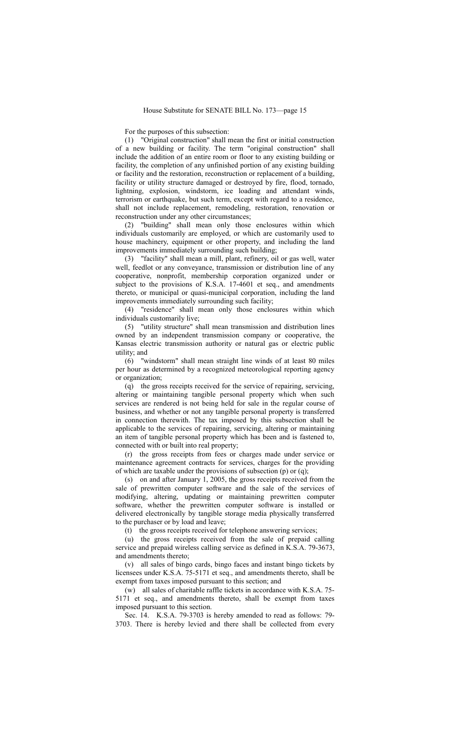For the purposes of this subsection:

(1) "Original construction" shall mean the first or initial construction of a new building or facility. The term "original construction" shall include the addition of an entire room or floor to any existing building or facility, the completion of any unfinished portion of any existing building or facility and the restoration, reconstruction or replacement of a building, facility or utility structure damaged or destroyed by fire, flood, tornado, lightning, explosion, windstorm, ice loading and attendant winds, terrorism or earthquake, but such term, except with regard to a residence, shall not include replacement, remodeling, restoration, renovation or reconstruction under any other circumstances;

(2) "building" shall mean only those enclosures within which individuals customarily are employed, or which are customarily used to house machinery, equipment or other property, and including the land improvements immediately surrounding such building;

(3) "facility" shall mean a mill, plant, refinery, oil or gas well, water well, feedlot or any conveyance, transmission or distribution line of any cooperative, nonprofit, membership corporation organized under or subject to the provisions of K.S.A. 17-4601 et seq., and amendments thereto, or municipal or quasi-municipal corporation, including the land improvements immediately surrounding such facility;

(4) "residence" shall mean only those enclosures within which individuals customarily live;

(5) "utility structure" shall mean transmission and distribution lines owned by an independent transmission company or cooperative, the Kansas electric transmission authority or natural gas or electric public utility; and

(6) "windstorm" shall mean straight line winds of at least 80 miles per hour as determined by a recognized meteorological reporting agency or organization;

(q) the gross receipts received for the service of repairing, servicing, altering or maintaining tangible personal property which when such services are rendered is not being held for sale in the regular course of business, and whether or not any tangible personal property is transferred in connection therewith. The tax imposed by this subsection shall be applicable to the services of repairing, servicing, altering or maintaining an item of tangible personal property which has been and is fastened to, connected with or built into real property;

(r) the gross receipts from fees or charges made under service or maintenance agreement contracts for services, charges for the providing of which are taxable under the provisions of subsection (p) or (q);

(s) on and after January 1, 2005, the gross receipts received from the sale of prewritten computer software and the sale of the services of modifying, altering, updating or maintaining prewritten computer software, whether the prewritten computer software is installed or delivered electronically by tangible storage media physically transferred to the purchaser or by load and leave;

(t) the gross receipts received for telephone answering services;

(u) the gross receipts received from the sale of prepaid calling service and prepaid wireless calling service as defined in K.S.A. 79-3673, and amendments thereto;

(v) all sales of bingo cards, bingo faces and instant bingo tickets by licensees under K.S.A. 75-5171 et seq., and amendments thereto, shall be exempt from taxes imposed pursuant to this section; and

(w) all sales of charitable raffle tickets in accordance with K.S.A. 75- 5171 et seq., and amendments thereto, shall be exempt from taxes imposed pursuant to this section.

Sec. 14. K.S.A. 79-3703 is hereby amended to read as follows: 79- 3703. There is hereby levied and there shall be collected from every